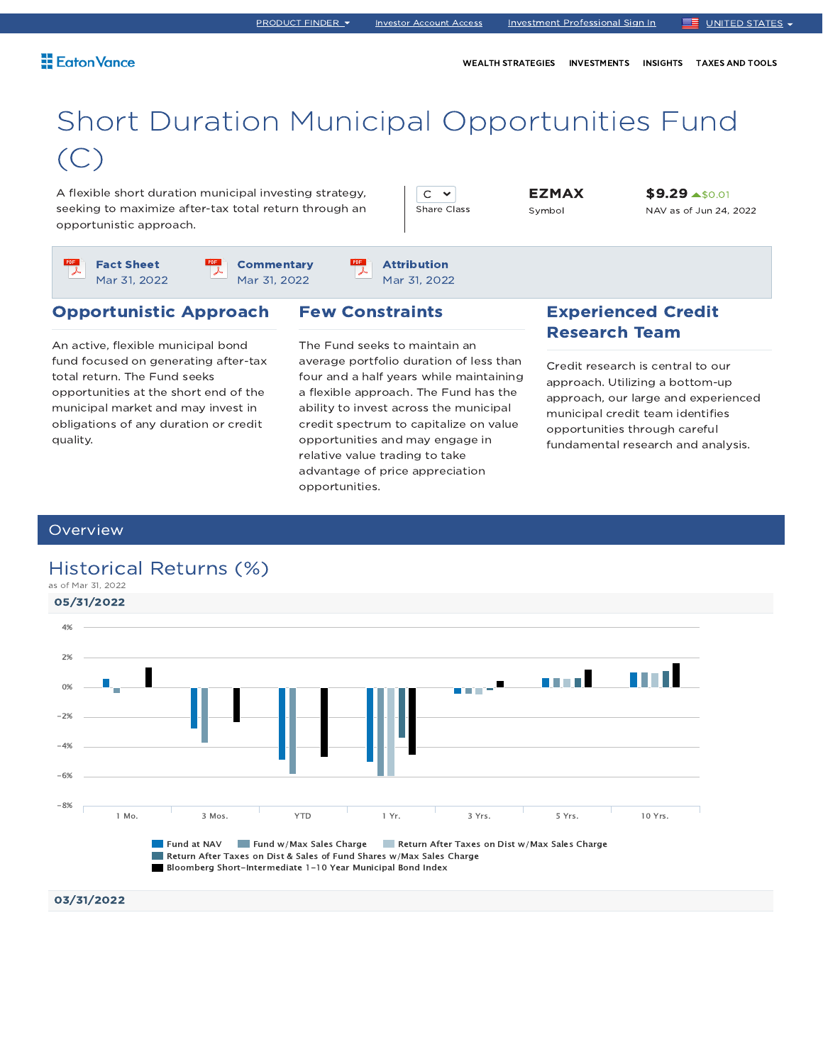WEALTH STRATEGIES INVESTMENTS INSIGHTS TAXES AND TOOLS

# Short Duration Municipal Opportunities Fund (C)

A flexible short duration municipal investing strategy, seeking to maximize after-tax total return through an opportunistic approach.

 $C \times$ Share Class EZMAX Symbol

\$9.29 \$0.01 NAV as of Jun 24, 2022

Fact Sheet Mar 31, 2022

**Commentary** Mar 31, 2022

Attribution Mar 31, 2022

#### Opportunistic Approach

An active, flexible municipal bond fund focused on generating after-tax total return. The Fund seeks opportunities at the short end of the municipal market and may invest in obligations of any duration or credit quality.

#### Few Constraints

The Fund seeks to maintain an average portfolio duration of less than four and a half years while maintaining a flexible approach. The Fund has the ability to invest across the municipal credit spectrum to capitalize on value opportunities and may engage in relative value trading to take advantage of price appreciation opportunities.

### Experienced Credit Research Team

Credit research is central to our approach. Utilizing a bottom-up approach, our large and experienced municipal credit team identifies opportunities through careful fundamental research and analysis.

#### **Overview**

### as of Mar 31, 2022 05/31/2022 4%2% **Little Li** a ma ang s<sup>a</sup> 0% -2%  $-4%$ -6% -8% 1 Mo. 3 Mos. YTD 1 Yr. 3 Yrs. 5 Yrs. 10 Yrs. **Fund at NAV Fund w/Max Sales Charge Return After Taxes on Dist w/Max Sales Charge** Return After Taxes on Dist & Sales of Fund Shares w/Max Sales Charge Bloomberg Short-Intermediate 1-10 Year Municipal Bond Index

### Historical Returns (%)

03/31/2022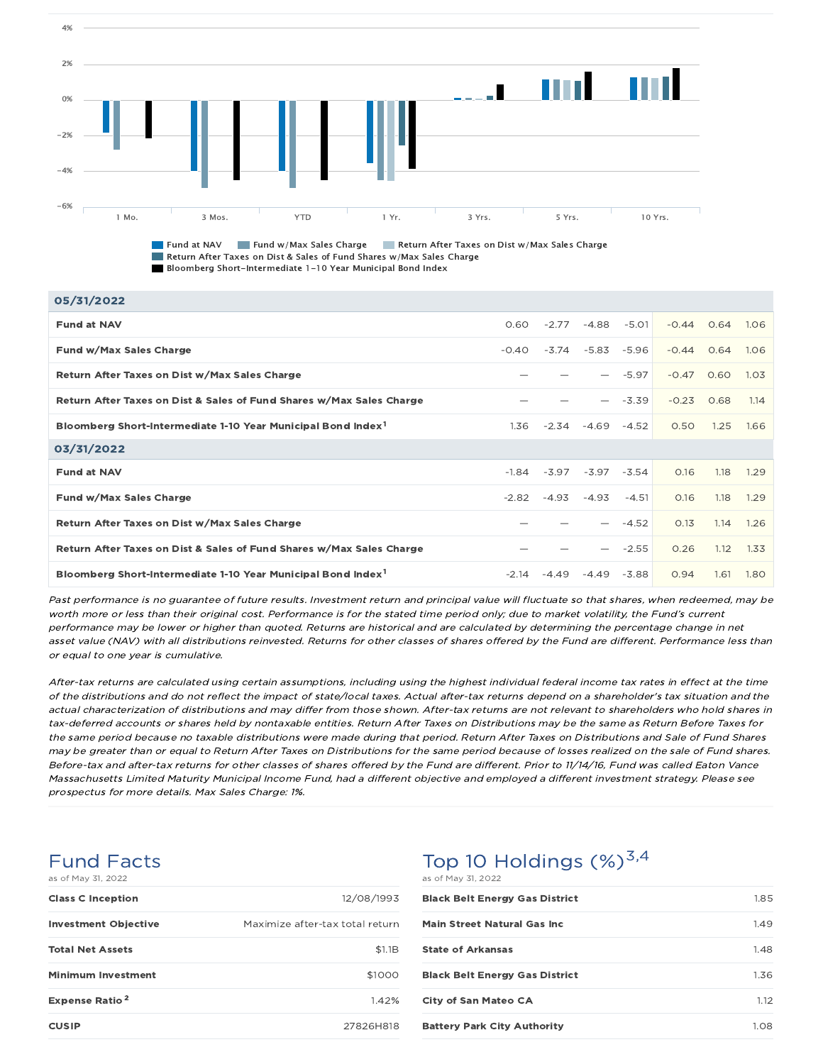

**Fund at NAV Fund w/Max Sales Charge Return After Taxes on Dist w/Max Sales Charge** Return After Taxes on Dist & Sales of Fund Shares w/Max Sales Charge Bloomberg Short-Intermediate 1-10 Year Municipal Bond Index

| 05/31/2022                                                               |         |         |       |         |              |      |      |
|--------------------------------------------------------------------------|---------|---------|-------|---------|--------------|------|------|
| <b>Fund at NAV</b>                                                       | 0.60    | $-2.77$ | -4.88 | $-5.01$ | $-0.44$      | 0.64 | 1.06 |
| Fund w/Max Sales Charge                                                  | $-0.40$ | $-3.74$ | -5.83 | $-5.96$ | $-0.44$ 0.64 |      | 1.06 |
| Return After Taxes on Dist w/Max Sales Charge                            |         |         |       | $-5.97$ | $-0.47$      | 0.60 | 1.03 |
| Return After Taxes on Dist & Sales of Fund Shares w/Max Sales Charge     |         |         |       | $-3.39$ | $-0.23$      | 0.68 | 1.14 |
| Bloomberg Short-Intermediate 1-10 Year Municipal Bond Index <sup>1</sup> | 1.36    | $-2.34$ | -4.69 | $-4.52$ | 0.50         | 1.25 | 1.66 |
| 03/31/2022                                                               |         |         |       |         |              |      |      |
| <b>Fund at NAV</b>                                                       | $-1.84$ | -3.97   | -3.97 | $-3.54$ | 0.16         | 1.18 | 1.29 |
| Fund w/Max Sales Charge                                                  | $-2.82$ | $-4.93$ | -4.93 | $-4.51$ | 0.16         | 1.18 | 1.29 |
| Return After Taxes on Dist w/Max Sales Charge                            |         |         |       | $-4.52$ | 0.13         | 1.14 | 1.26 |
| Return After Taxes on Dist & Sales of Fund Shares w/Max Sales Charge     |         |         |       | $-2.55$ | 0.26         | 1.12 | 1.33 |
| Bloomberg Short-Intermediate 1-10 Year Municipal Bond Index <sup>1</sup> | $-2.14$ | $-4.49$ | -4.49 | $-3.88$ | 0.94         | 1.61 | 1.80 |

Past performance is no guarantee of future results. Investment return and principal value will fluctuate so that shares, when redeemed, may be worth more or less than their original cost. Performance is for the stated time period only; due to market volatility, the Fund's current performance may be lower or higher than quoted. Returns are historical and are calculated by determining the percentage change in net asset value (NAV) with all distributions reinvested. Returns for other classes of shares offered by the Fund are different. Performance less than or equal to one year is cumulative.

After-tax returns are calculated using certain assumptions, including using the highest individual federal income tax rates in effect at the time of the distributions and do not reflect the impact of state/local taxes. Actual after-tax returns depend on <sup>a</sup> shareholder's tax situation and the actual characterization of distributions and may differ from those shown. After-tax returns are not relevant to shareholders who hold shares in tax-deferred accounts or shares held by nontaxable entities. Return After Taxes on Distributions may be the same as Return Before Taxes for the same period because no taxable distributions were made during that period. Return After Taxes on Distributions and Sale of Fund Shares may be greater than or equal to Return After Taxes on Distributions for the same period because of losses realized on the sale of Fund shares. Before-tax and after-tax returns for other classes of shares offered by the Fund are different. Prior to 11/14/16, Fund was called Eaton Vance Massachusetts Limited Maturity Municipal Income Fund, had <sup>a</sup> different objective and employed <sup>a</sup> different investment strategy. Please see prospectus for more details. Max Sales Charge: 1%.

### Fund Facts

| as of May 31, 2022               |                                 |
|----------------------------------|---------------------------------|
| <b>Class C Inception</b>         | 12/08/1993                      |
| <b>Investment Objective</b>      | Maximize after-tax total return |
| <b>Total Net Assets</b>          | \$1.1B                          |
| <b>Minimum Investment</b>        | \$1000                          |
| <b>Expense Ratio<sup>2</sup></b> | 1.42%                           |
| <b>CUSIP</b>                     | 27826H818                       |

## Top 10 Holdings  $(\%)^{3,4}$

| as of May 31, 2022                    |      |
|---------------------------------------|------|
| <b>Black Belt Energy Gas District</b> | 1.85 |
| <b>Main Street Natural Gas Inc.</b>   | 1.49 |
| <b>State of Arkansas</b>              | 1.48 |
| <b>Black Belt Energy Gas District</b> | 1.36 |
| <b>City of San Mateo CA</b>           | 1.12 |
| <b>Battery Park City Authority</b>    | 1.08 |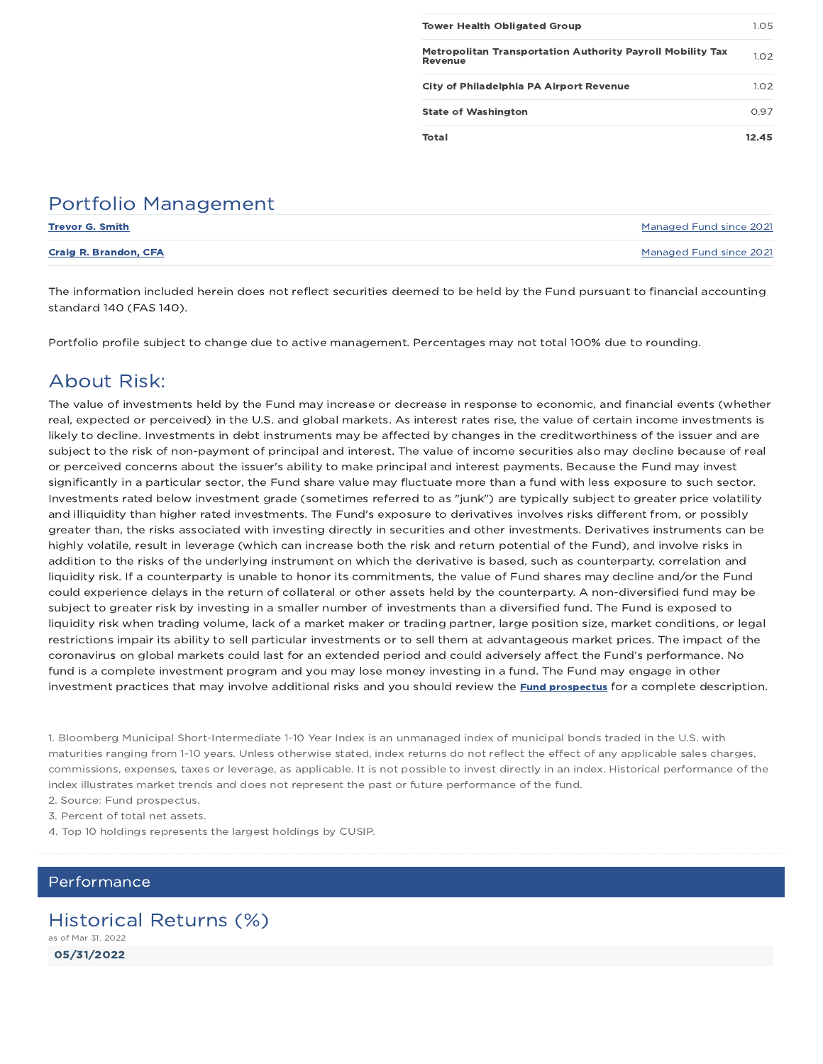| <b>Tower Health Obligated Group</b>                                          | 1.05  |
|------------------------------------------------------------------------------|-------|
|                                                                              |       |
| <b>Metropolitan Transportation Authority Payroll Mobility Tax</b><br>Revenue | 1.02  |
| City of Philadelphia PA Airport Revenue                                      | 1.02  |
| <b>State of Washington</b>                                                   | 0.97  |
| Total                                                                        | 12.45 |

## Portfolio Management

| <b>Trevor G. Smith</b>       | Managed Fund since 2021 |
|------------------------------|-------------------------|
| <b>Craig R. Brandon, CFA</b> | Managed Fund since 2021 |

The information included herein does not reflect securities deemed to be held by the Fund pursuant to financial accounting standard 140 (FAS 140).

Portfolio profile subject to change due to active management. Percentages may not total 100% due to rounding.

## About Risk:

The value of investments held by the Fund may increase or decrease in response to economic, and financial events (whether real, expected or perceived) in the U.S. and global markets. As interest rates rise, the value of certain income investments is likely to decline. Investments in debt instruments may be affected by changes in the creditworthiness of the issuer and are subject to the risk of non-payment of principal and interest. The value of income securities also may decline because of real or perceived concerns about the issuer's ability to make principal and interest payments. Because the Fund may invest significantly in a particular sector, the Fund share value may fluctuate more than a fund with less exposure to such sector. Investments rated below investment grade (sometimes referred to as "junk") are typically subject to greater price volatility and illiquidity than higher rated investments. The Fund's exposure to derivatives involves risks different from, or possibly greater than, the risks associated with investing directly in securities and other investments. Derivatives instruments can be highly volatile, result in leverage (which can increase both the risk and return potential of the Fund), and involve risks in addition to the risks of the underlying instrument on which the derivative is based, such as counterparty, correlation and liquidity risk. If a counterparty is unable to honor its commitments, the value of Fund shares may decline and/or the Fund could experience delays in the return of collateral or other assets held by the counterparty. A non-diversified fund may be subject to greater risk by investing in a smaller number of investments than a diversified fund. The Fund is exposed to liquidity risk when trading volume, lack of a market maker or trading partner, large position size, market conditions, or legal restrictions impair its ability to sell particular investments or to sell them at advantageous market prices. The impact of the coronavirus on global markets could last for an extended period and could adversely affect the Fund's performance. No fund is a complete investment program and you may lose money investing in a fund. The Fund may engage in other investment practices that may involve additional risks and you should review the **Fund prospectus** for a complete description.

1. Bloomberg Municipal Short-Intermediate 1-10 Year Index is an unmanaged index of municipal bonds traded in the U.S. with maturities ranging from 1-10 years. Unless otherwise stated, index returns do not reflect the effect of any applicable sales charges, commissions, expenses, taxes or leverage, as applicable. It is not possible to invest directly in an index. Historical performance of the index illustrates market trends and does not represent the past or future performance of the fund.

2. Source: Fund prospectus.

3. Percent of total net assets.

4. Top 10 holdings represents the largest holdings by CUSIP.

### Performance

## Historical Returns (%)

05/31/2022 as of Mar 31, 2022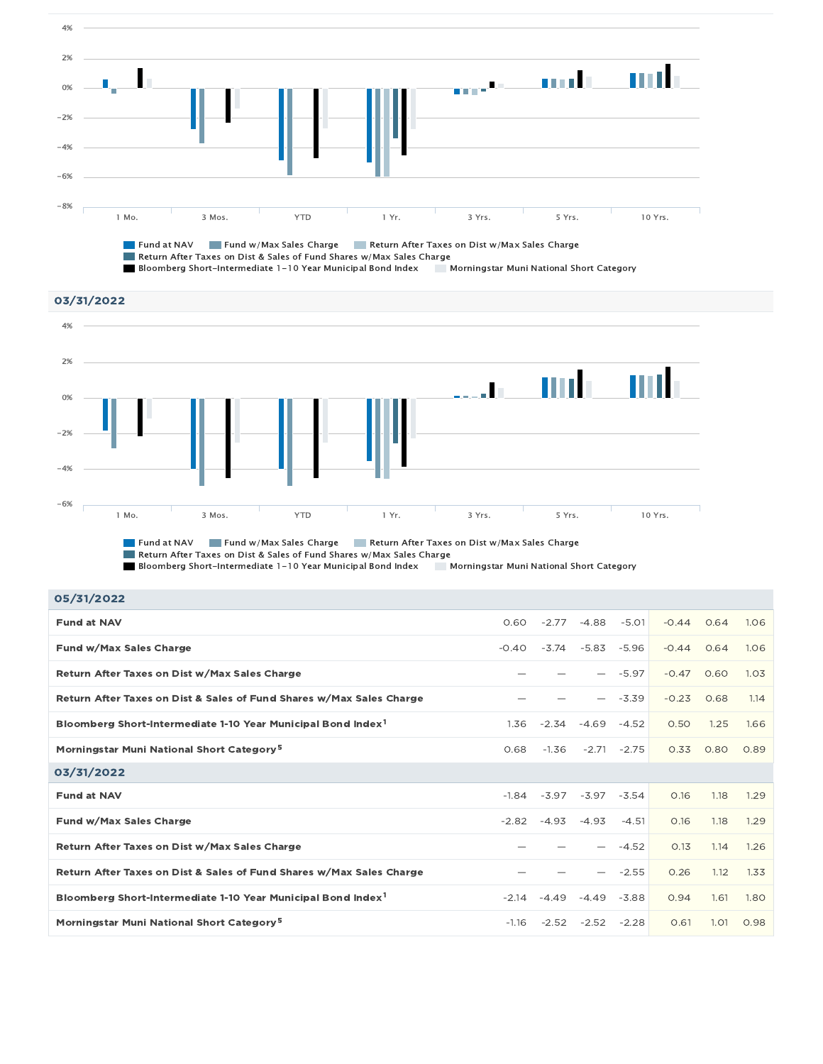

Fund at NAV Fund w/Max Sales Charge Return After Taxes on Dist w/Max Sales Charge Return After Taxes on Dist & Sales of Fund Shares w/Max Sales Charge Bloomberg Short-Intermediate 1-10 Year Municipal Bond Index Morningstar Muni National Short Category



Return After Taxes on Dist & Sales of Fund Shares w/Max Sales Charge Bloomberg Short-Intermediate 1-10 Year Municipal Bond Index Morningstar Muni National Short Category

| 1.06<br>1.06 |
|--------------|
|              |
|              |
| 1.03         |
| 1.14         |
| 1.66         |
| 0.89         |
|              |
| 1.29         |
| 1.29         |
|              |
| 1.26         |
| 1.33         |
| 1.80         |
|              |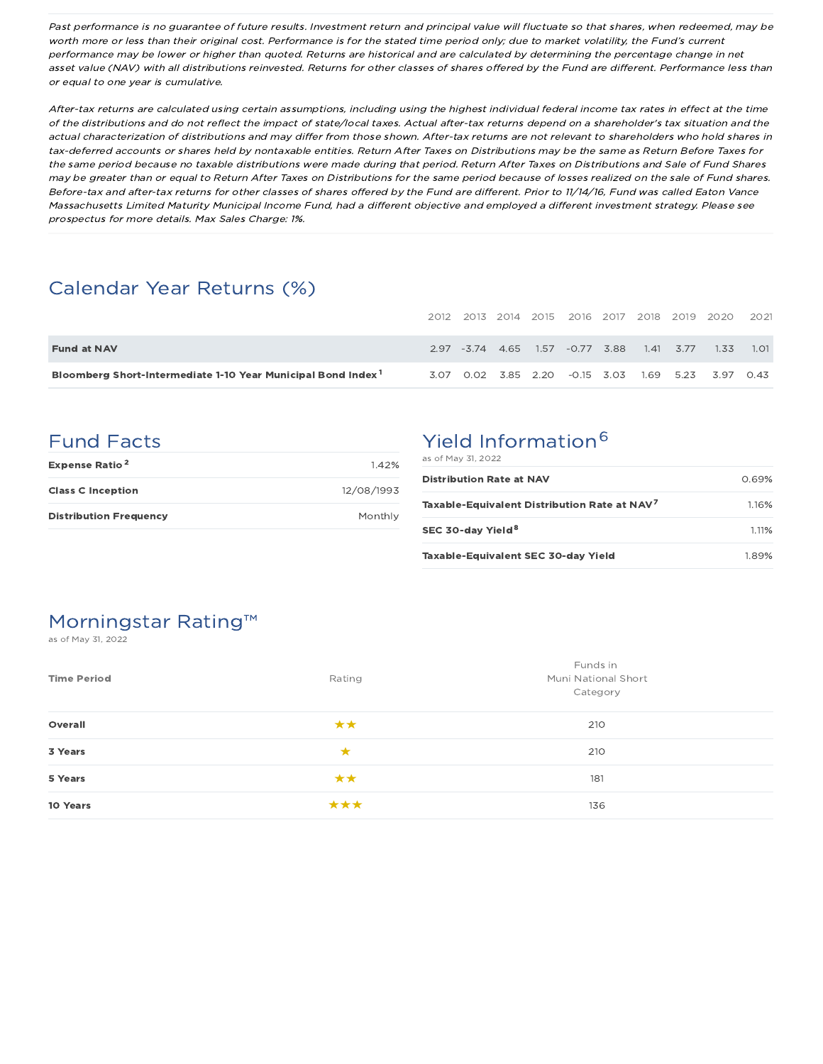Past performance is no guarantee of future results. Investment return and principal value will fluctuate so that shares, when redeemed, may be worth more or less than their original cost. Performance is for the stated time period only; due to market volatility, the Fund's current performance may be lower or higher than quoted. Returns are historical and are calculated by determining the percentage change in net asset value (NAV) with all distributions reinvested. Returns for other classes of shares offered by the Fund are different. Performance less than or equal to one year is cumulative.

After-tax returns are calculated using certain assumptions, including using the highest individual federal income tax rates in effect at the time of the distributions and do not reflect the impact of state/local taxes. Actual after-tax returns depend on <sup>a</sup> shareholder's tax situation and the actual characterization of distributions and may differ from those shown. After-tax returns are not relevant to shareholders who hold shares in tax-deferred accounts or shares held by nontaxable entities. Return After Taxes on Distributions may be the same as Return Before Taxes for the same period because no taxable distributions were made during that period. Return After Taxes on Distributions and Sale of Fund Shares may be greater than or equal to Return After Taxes on Distributions for the same period because of losses realized on the sale of Fund shares. Before-tax and after-tax returns for other classes of shares offered by the Fund are different. Prior to 11/14/16, Fund was called Eaton Vance Massachusetts Limited Maturity Municipal Income Fund, had <sup>a</sup> different objective and employed <sup>a</sup> different investment strategy. Please see prospectus for more details. Max Sales Charge: 1%.

## Calendar Year Returns (%)

|                                                                          |  |  |                                           |  | 2012 2013 2014 2015 2016 2017 2018 2019 2020                | 2021 |
|--------------------------------------------------------------------------|--|--|-------------------------------------------|--|-------------------------------------------------------------|------|
| <b>Fund at NAV</b>                                                       |  |  | 2.97 -3.74 4.65 1.57 -0.77 3.88 1.41 3.77 |  | 1.33                                                        | 1.01 |
| Bloomberg Short-Intermediate 1-10 Year Municipal Bond Index <sup>1</sup> |  |  |                                           |  | 3.07  0.02  3.85  2.20  -0.15  3.03  1.69  5.23  3.97  0.43 |      |

## Fund Facts

| Expense Ratio <sup>2</sup>    | 1.42%      |
|-------------------------------|------------|
| <b>Class C Inception</b>      | 12/08/1993 |
| <b>Distribution Frequency</b> | Monthly    |

## Yield Information<sup>6</sup>

| as of May 31, 2022                                       |       |
|----------------------------------------------------------|-------|
| <b>Distribution Rate at NAV</b>                          | 0.69% |
| Taxable-Equivalent Distribution Rate at NAV <sup>7</sup> | 1.16% |
| SEC 30-day Yield <sup>8</sup>                            | 1.11% |
| Taxable-Equivalent SEC 30-day Yield                      | 1.89% |

## Morningstar Rating™

as of May 31, 2022

| <b>Time Period</b> | Rating | Funds in<br>Muni National Short<br>Category |
|--------------------|--------|---------------------------------------------|
| Overall            | **     | 210                                         |
| 3 Years            | ★      | 210                                         |
| 5 Years            | **     | 181                                         |
| 10 Years           | ***    | 136                                         |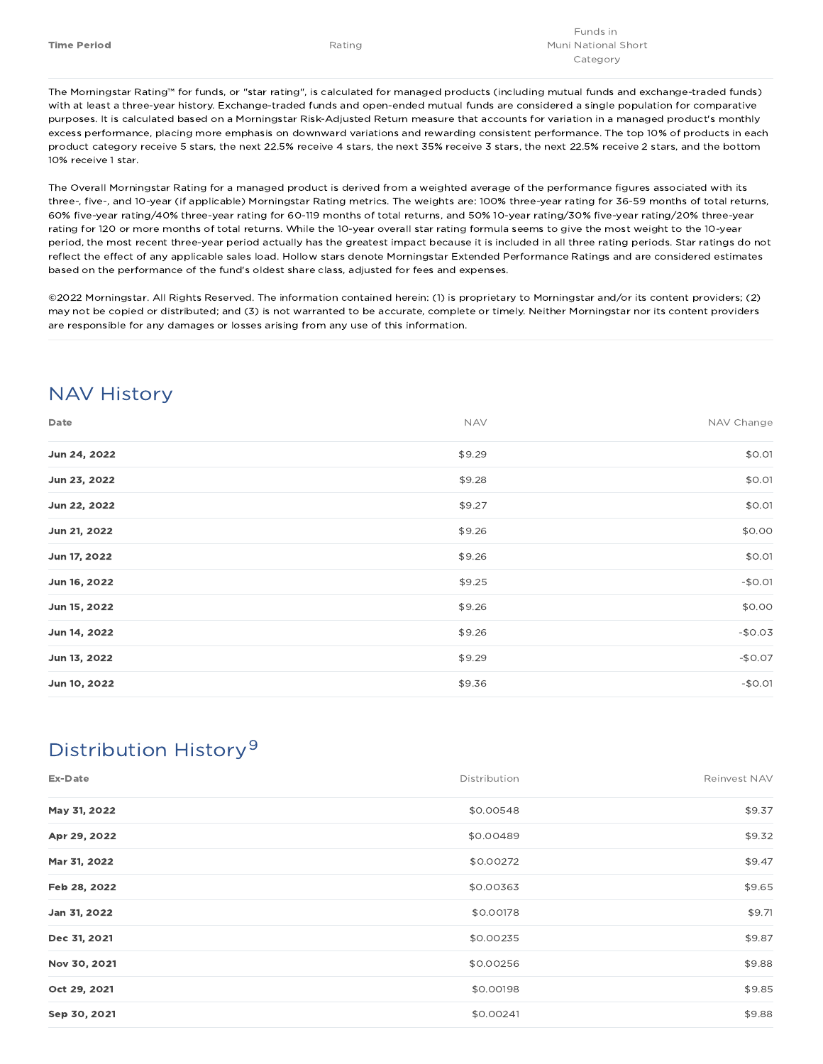The Morningstar Rating™ for funds, or "star rating", is calculated for managed products (including mutual funds and exchange-traded funds) with at least a three-year history. Exchange-traded funds and open-ended mutual funds are considered a single population for comparative purposes. It is calculated based on a Morningstar Risk-Adjusted Return measure that accounts for variation in a managed product's monthly excess performance, placing more emphasis on downward variations and rewarding consistent performance. The top 10% of products in each product category receive 5 stars, the next 22.5% receive 4 stars, the next 35% receive 3 stars, the next 22.5% receive 2 stars, and the bottom 10% receive 1 star.

The Overall Morningstar Rating for a managed product is derived from a weighted average of the performance figures associated with its three-, five-, and 10-year (if applicable) Morningstar Rating metrics. The weights are: 100% three-year rating for 36-59 months of total returns, 60% five-year rating/40% three-year rating for 60-119 months of total returns, and 50% 10-year rating/30% five-year rating/20% three-year rating for 120 or more months of total returns. While the 10-year overall star rating formula seems to give the most weight to the 10-year period, the most recent three-year period actually has the greatest impact because it is included in all three rating periods. Star ratings do not reflect the effect of any applicable sales load. Hollow stars denote Morningstar Extended Performance Ratings and are considered estimates based on the performance of the fund's oldest share class, adjusted for fees and expenses.

©2022 Morningstar. All Rights Reserved. The information contained herein: (1) is proprietary to Morningstar and/or its content providers; (2) may not be copied or distributed; and (3) is not warranted to be accurate, complete or timely. Neither Morningstar nor its content providers are responsible for any damages or losses arising from any use of this information.

## NAV History

| Date         | <b>NAV</b> | NAV Change |
|--------------|------------|------------|
| Jun 24, 2022 | \$9.29     | \$0.01     |
| Jun 23, 2022 | \$9.28     | \$0.01     |
| Jun 22, 2022 | \$9.27     | \$0.01     |
| Jun 21, 2022 | \$9.26     | \$0.00     |
| Jun 17, 2022 | \$9.26     | \$0.01     |
| Jun 16, 2022 | \$9.25     | $-$0.01$   |
| Jun 15, 2022 | \$9.26     | \$0.00     |
| Jun 14, 2022 | \$9.26     | $-$0.03$   |
| Jun 13, 2022 | \$9.29     | $-$0.07$   |
| Jun 10, 2022 | \$9.36     | $-$0.01$   |

## Distribution History 9

| Ex-Date      | Distribution | Reinvest NAV |
|--------------|--------------|--------------|
| May 31, 2022 | \$0.00548    | \$9.37       |
| Apr 29, 2022 | \$0.00489    | \$9.32       |
| Mar 31, 2022 | \$0.00272    | \$9.47       |
| Feb 28, 2022 | \$0.00363    | \$9.65       |
| Jan 31, 2022 | \$0.00178    | \$9.71       |
| Dec 31, 2021 | \$0.00235    | \$9.87       |
| Nov 30, 2021 | \$0.00256    | \$9.88       |
| Oct 29, 2021 | \$0.00198    | \$9.85       |
| Sep 30, 2021 | \$0.00241    | \$9.88       |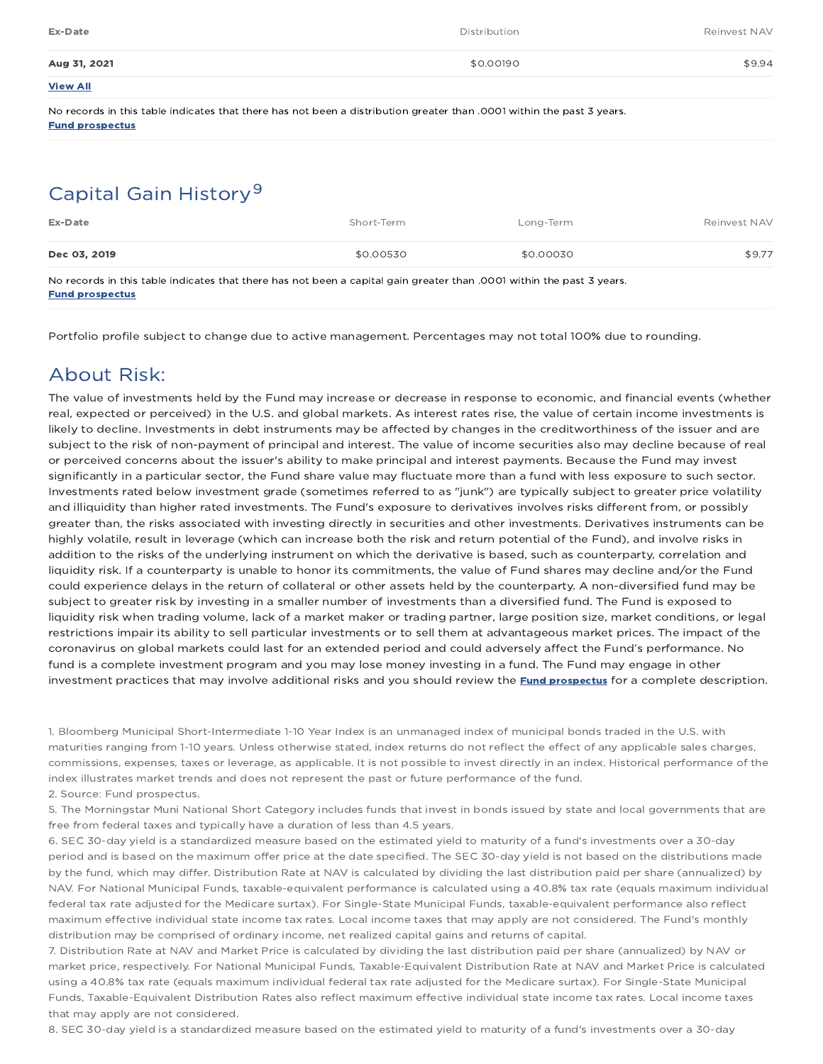| Ex-Date         | Distribution | Reinvest NAV |
|-----------------|--------------|--------------|
| Aug 31, 2021    | \$0.00190    | \$9.94       |
| <b>View All</b> |              |              |

No records in this table indicates that there has not been a distribution greater than .0001 within the past 3 years. Fund prospectus

## Capital Gain History<sup>9</sup>

| Ex-Date      | Short-Term | Long-Term | Reinvest NAV |
|--------------|------------|-----------|--------------|
| Dec 03, 2019 | \$0.00530  | \$0.00030 | \$9.77       |

No records in this table indicates that there has not been a capital gain greater than .0001 within the past 3 years. Fund prospectus

Portfolio profile subject to change due to active management. Percentages may not total 100% due to rounding.

### About Risk:

The value of investments held by the Fund may increase or decrease in response to economic, and financial events (whether real, expected or perceived) in the U.S. and global markets. As interest rates rise, the value of certain income investments is likely to decline. Investments in debt instruments may be affected by changes in the creditworthiness of the issuer and are subject to the risk of non-payment of principal and interest. The value of income securities also may decline because of real or perceived concerns about the issuer's ability to make principal and interest payments. Because the Fund may invest significantly in a particular sector, the Fund share value may fluctuate more than a fund with less exposure to such sector. Investments rated below investment grade (sometimes referred to as "junk") are typically subject to greater price volatility and illiquidity than higher rated investments. The Fund's exposure to derivatives involves risks different from, or possibly greater than, the risks associated with investing directly in securities and other investments. Derivatives instruments can be highly volatile, result in leverage (which can increase both the risk and return potential of the Fund), and involve risks in addition to the risks of the underlying instrument on which the derivative is based, such as counterparty, correlation and liquidity risk. If a counterparty is unable to honor its commitments, the value of Fund shares may decline and/or the Fund could experience delays in the return of collateral or other assets held by the counterparty. A non-diversified fund may be subject to greater risk by investing in a smaller number of investments than a diversified fund. The Fund is exposed to liquidity risk when trading volume, lack of a market maker or trading partner, large position size, market conditions, or legal restrictions impair its ability to sell particular investments or to sell them at advantageous market prices. The impact of the coronavirus on global markets could last for an extended period and could adversely affect the Fund's performance. No fund is a complete investment program and you may lose money investing in a fund. The Fund may engage in other investment practices that may involve additional risks and you should review the **Fund prospectus** for a complete description.

1. Bloomberg Municipal Short-Intermediate 1-10 Year Index is an unmanaged index of municipal bonds traded in the U.S. with maturities ranging from 1-10 years. Unless otherwise stated, index returns do not reflect the effect of any applicable sales charges, commissions, expenses, taxes or leverage, as applicable. It is not possible to invest directly in an index. Historical performance of the index illustrates market trends and does not represent the past or future performance of the fund. 2. Source: Fund prospectus.

5. The Morningstar Muni National Short Category includes funds that invest in bonds issued by state and local governments that are free from federal taxes and typically have a duration of less than 4.5 years.

6. SEC 30-day yield is a standardized measure based on the estimated yield to maturity of a fund's investments over a 30-day period and is based on the maximum offer price at the date specified. The SEC 30-day yield is not based on the distributions made by the fund, which may differ. Distribution Rate at NAV is calculated by dividing the last distribution paid per share (annualized) by NAV. For National Municipal Funds, taxable-equivalent performance is calculated using a 40.8% tax rate (equals maximum individual federal tax rate adjusted for the Medicare surtax). For Single-State Municipal Funds, taxable-equivalent performance also reflect maximum effective individual state income tax rates. Local income taxes that may apply are not considered. The Fund's monthly distribution may be comprised of ordinary income, net realized capital gains and returns of capital.

7. Distribution Rate at NAV and Market Price is calculated by dividing the last distribution paid per share (annualized) by NAV or market price, respectively. For National Municipal Funds, Taxable-Equivalent Distribution Rate at NAV and Market Price is calculated using a 40.8% tax rate (equals maximum individual federal tax rate adjusted for the Medicare surtax). For Single-State Municipal Funds, Taxable-Equivalent Distribution Rates also reflect maximum effective individual state income tax rates. Local income taxes that may apply are not considered.

8. SEC 30-day yield is a standardized measure based on the estimated yield to maturity of a fund's investments over a 30-day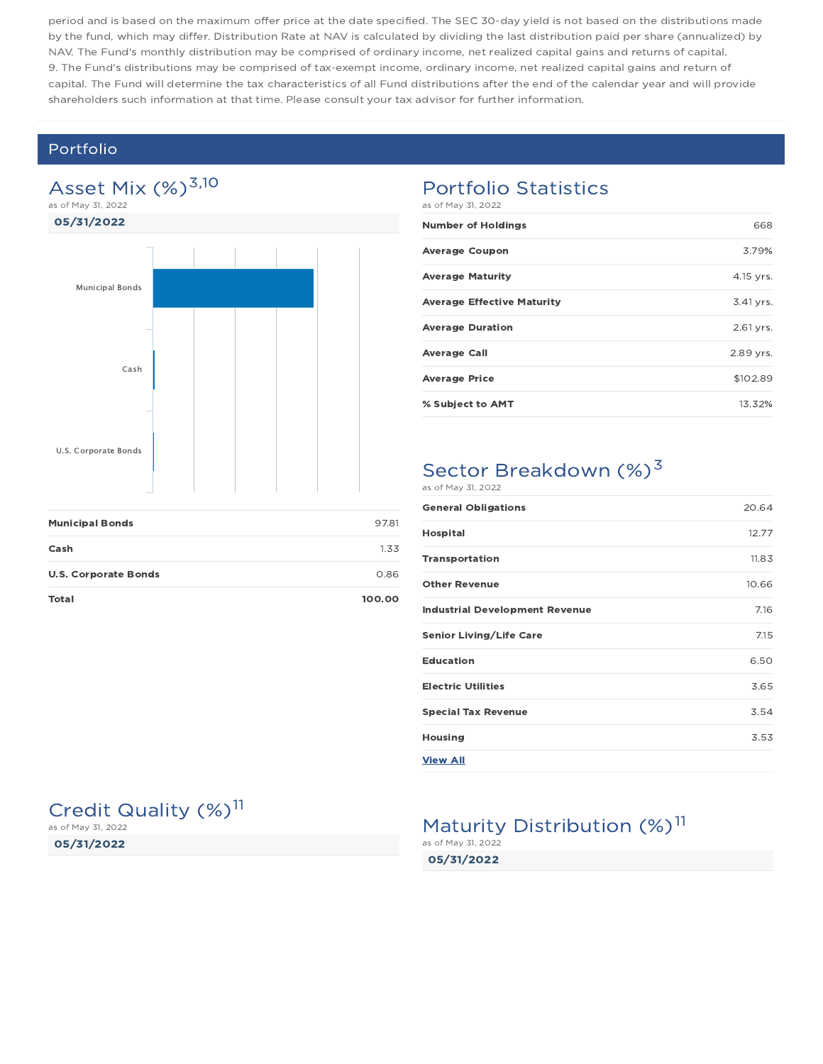period and is based on the maximum offer price at the date specified. The SEC 30-day yield is not based on the distributions made by the fund, which may differ. Distribution Rate at NAV is calculated by dividing the last distribution paid per share (annualized) by NAV. The Fund's monthly distribution may be comprised of ordinary income, net realized capital gains and returns of capital. 9. The Fund's distributions may be comprised of tax-exempt income, ordinary income, net realized capital gains and return of capital. The Fund will determine the tax characteristics of all Fund distributions after the end of the calendar year and will provide shareholders such information at that time. Please consult your tax advisor for further information.

### Portfolio

## Asset Mix  $(\%)^{3,10}$

as of May 31, 2022



| <b>Municipal Bonds</b>      | 97.81  |
|-----------------------------|--------|
| Cash                        | 1.33   |
| <b>U.S. Corporate Bonds</b> | 0.86   |
| Total                       | 100.00 |

## Portfolio Statistics

as of May 31, 2022

| <b>Number of Holdings</b>         | 668       |
|-----------------------------------|-----------|
| <b>Average Coupon</b>             | 3.79%     |
| <b>Average Maturity</b>           | 4.15 yrs. |
| <b>Average Effective Maturity</b> | 3.41 yrs. |
| <b>Average Duration</b>           | 2.61 yrs. |
| <b>Average Call</b>               | 2.89 yrs. |
| <b>Average Price</b>              | \$102.89  |
| % Subject to AMT                  | 13.32%    |

#### Sector Breakdown (%)<sup>3</sup> as of May 31, 2022

| <b>General Obligations</b>            | 20.64 |
|---------------------------------------|-------|
| <b>Hospital</b>                       | 12.77 |
| <b>Transportation</b>                 | 11.83 |
| <b>Other Revenue</b>                  | 10.66 |
| <b>Industrial Development Revenue</b> | 7.16  |
| <b>Senior Living/Life Care</b>        | 7.15  |
| <b>Education</b>                      | 6.50  |
| <b>Electric Utilities</b>             | 3.65  |
| <b>Special Tax Revenue</b>            | 3.54  |
| <b>Housing</b>                        | 3.53  |
| <b>View All</b>                       |       |

## Credit Quality (%)<sup>11</sup>

05/31/2022 as of May 31, 2022

### Maturity Distribution (%)<sup>11</sup> as of May 31, 2022

05/31/2022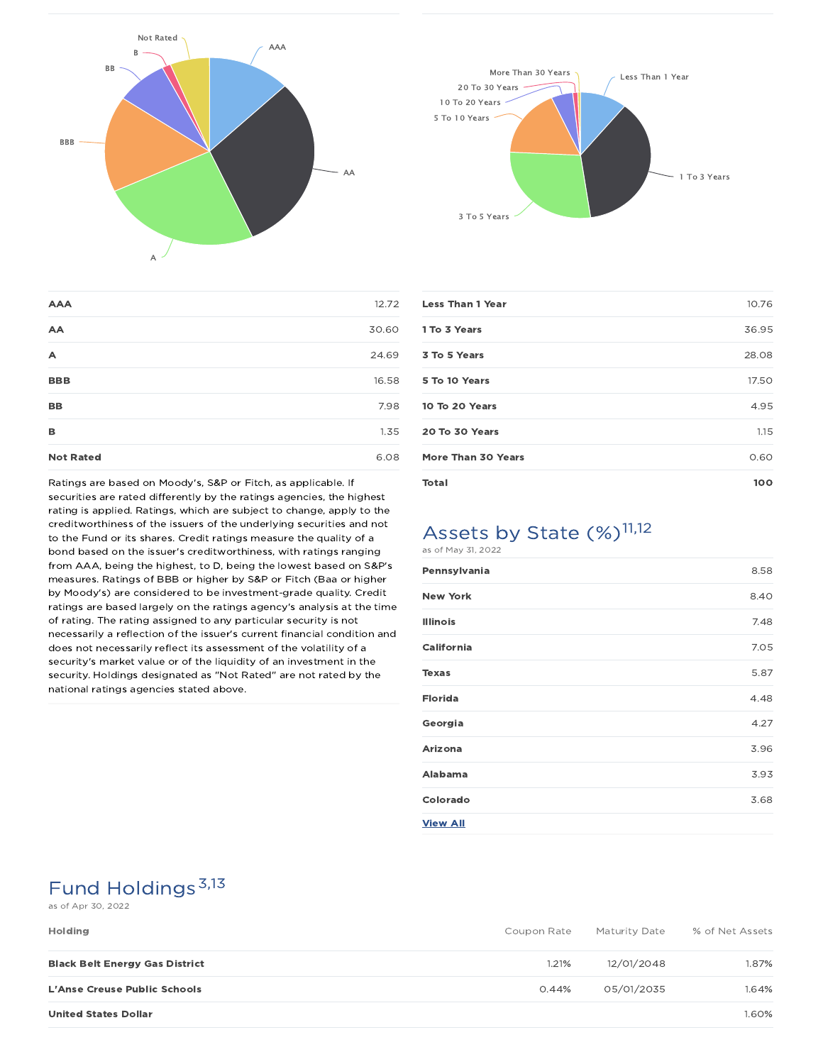



| <b>AAA</b>       | 12.72 |
|------------------|-------|
| AA               | 30.60 |
| A                | 24.69 |
| <b>BBB</b>       | 16.58 |
| <b>BB</b>        | 7.98  |
| B                | 1.35  |
| <b>Not Rated</b> | 6.08  |

Ratings are based on Moody's, S&P or Fitch, as applicable. If securities are rated differently by the ratings agencies, the highest rating is applied. Ratings, which are subject to change, apply to the creditworthiness of the issuers of the underlying securities and not to the Fund or its shares. Credit ratings measure the quality of a bond based on the issuer's creditworthiness, with ratings ranging from AAA, being the highest, to D, being the lowest based on S&P's measures. Ratings of BBB or higher by S&P or Fitch (Baa or higher by Moody's) are considered to be investment-grade quality. Credit ratings are based largely on the ratings agency's analysis at the time of rating. The rating assigned to any particular security is not necessarily a reflection of the issuer's current financial condition and does not necessarily reflect its assessment of the volatility of a security's market value or of the liquidity of an investment in the security. Holdings designated as "Not Rated" are not rated by the national ratings agencies stated above.

| <b>Less Than 1 Year</b>   | 10.76 |
|---------------------------|-------|
| 1 To 3 Years              | 36.95 |
| 3 To 5 Years              | 28.08 |
| 5 To 10 Years             | 17.50 |
| 10 To 20 Years            | 4.95  |
| 20 To 30 Years            | 1.15  |
| <b>More Than 30 Years</b> | 0.60  |
| <b>Total</b>              | 100   |
|                           |       |

## Assets by State (%)<sup>11,12</sup>

| as of May 31, 2022 |      |
|--------------------|------|
| Pennsylvania       | 8.58 |
| <b>New York</b>    | 8.40 |
| <b>Illinois</b>    | 7.48 |
| <b>California</b>  | 7.05 |
| <b>Texas</b>       | 5.87 |
| <b>Florida</b>     | 4.48 |
| Georgia            | 4.27 |
| Arizona            | 3.96 |
| <b>Alabama</b>     | 3.93 |
| Colorado           | 3.68 |
| <b>View All</b>    |      |

## Fund Holdings<sup>3,13</sup>

#### as of Apr 30, 2022

| <b>Holding</b>                        | Coupon Rate | Maturity Date | % of Net Assets |
|---------------------------------------|-------------|---------------|-----------------|
| <b>Black Belt Energy Gas District</b> | 1.21%       | 12/01/2048    | 1.87%           |
| <b>L'Anse Creuse Public Schools</b>   | 0.44%       | 05/01/2035    | 1.64%           |
| <b>United States Dollar</b>           |             |               | 1.60%           |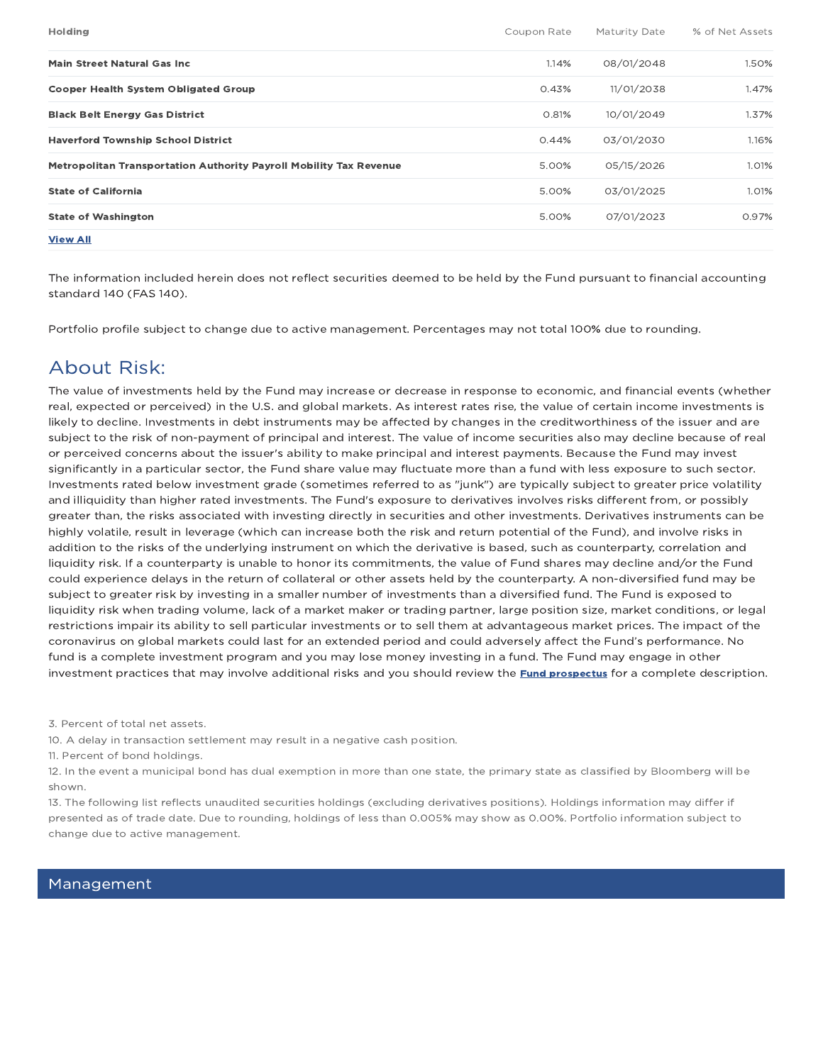| <b>Holding</b>                                                     | Coupon Rate | Maturity Date | % of Net Assets |
|--------------------------------------------------------------------|-------------|---------------|-----------------|
| Main Street Natural Gas Inc.                                       | 1.14%       | 08/01/2048    | 1.50%           |
| <b>Cooper Health System Obligated Group</b>                        | 0.43%       | 11/01/2038    | 1.47%           |
| <b>Black Belt Energy Gas District</b>                              | 0.81%       | 10/01/2049    | 1.37%           |
| <b>Haverford Township School District</b>                          | 0.44%       | 03/01/2030    | 1.16%           |
| Metropolitan Transportation Authority Payroll Mobility Tax Revenue | 5.00%       | 05/15/2026    | 1.01%           |
| <b>State of California</b>                                         | 5.00%       | 03/01/2025    | 1.01%           |
| <b>State of Washington</b>                                         | 5.00%       | 07/01/2023    | 0.97%           |
| <b>View All</b>                                                    |             |               |                 |

The information included herein does not reflect securities deemed to be held by the Fund pursuant to financial accounting standard 140 (FAS 140).

Portfolio profile subject to change due to active management. Percentages may not total 100% due to rounding.

## About Risk:

The value of investments held by the Fund may increase or decrease in response to economic, and financial events (whether real, expected or perceived) in the U.S. and global markets. As interest rates rise, the value of certain income investments is likely to decline. Investments in debt instruments may be affected by changes in the creditworthiness of the issuer and are subject to the risk of non-payment of principal and interest. The value of income securities also may decline because of real or perceived concerns about the issuer's ability to make principal and interest payments. Because the Fund may invest significantly in a particular sector, the Fund share value may fluctuate more than a fund with less exposure to such sector. Investments rated below investment grade (sometimes referred to as "junk") are typically subject to greater price volatility and illiquidity than higher rated investments. The Fund's exposure to derivatives involves risks different from, or possibly greater than, the risks associated with investing directly in securities and other investments. Derivatives instruments can be highly volatile, result in leverage (which can increase both the risk and return potential of the Fund), and involve risks in addition to the risks of the underlying instrument on which the derivative is based, such as counterparty, correlation and liquidity risk. If a counterparty is unable to honor its commitments, the value of Fund shares may decline and/or the Fund could experience delays in the return of collateral or other assets held by the counterparty. A non-diversified fund may be subject to greater risk by investing in a smaller number of investments than a diversified fund. The Fund is exposed to liquidity risk when trading volume, lack of a market maker or trading partner, large position size, market conditions, or legal restrictions impair its ability to sell particular investments or to sell them at advantageous market prices. The impact of the coronavirus on global markets could last for an extended period and could adversely affect the Fund's performance. No fund is a complete investment program and you may lose money investing in a fund. The Fund may engage in other investment practices that may involve additional risks and you should review the **Fund prospectus** for a complete description.

3. Percent of total net assets.

10. A delay in transaction settlement may result in a negative cash position.

11. Percent of bond holdings.

12. In the event a municipal bond has dual exemption in more than one state, the primary state as classified by Bloomberg will be shown.

13. The following list reflects unaudited securities holdings (excluding derivatives positions). Holdings information may differ if presented as of trade date. Due to rounding, holdings of less than 0.005% may show as 0.00%. Portfolio information subject to change due to active management.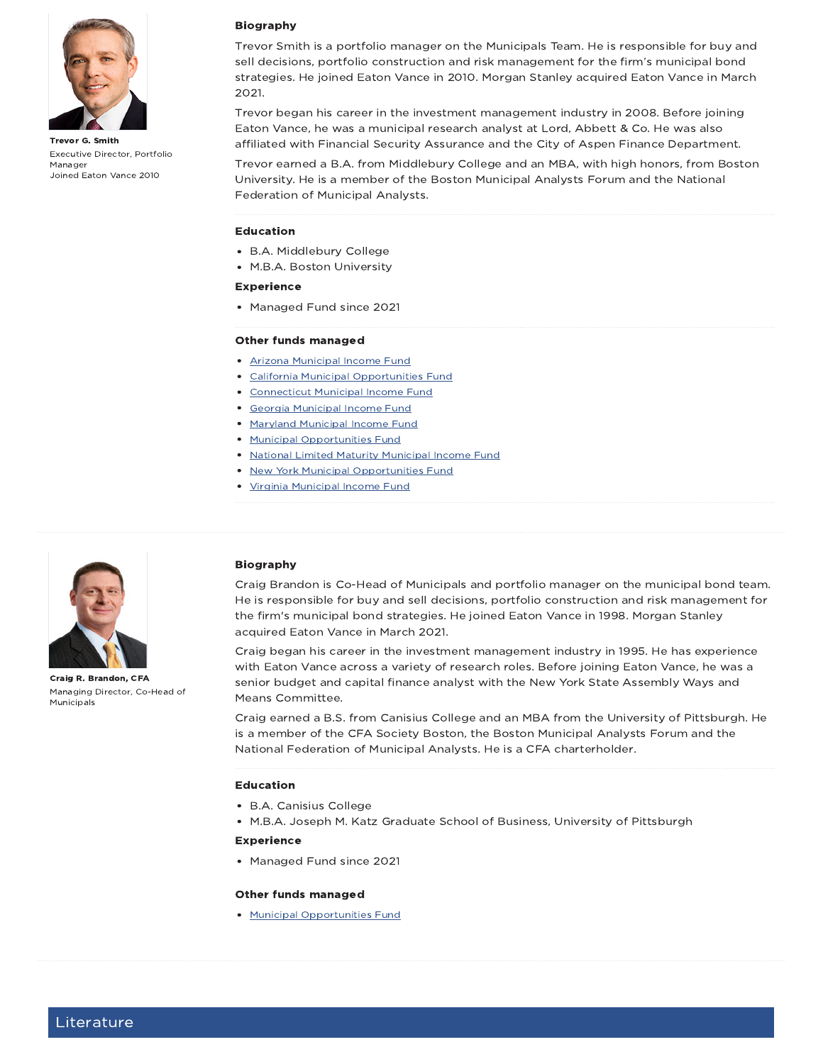

Trevor G. Smith Executive Director, Portfolio Manager Joined Eaton Vance 2010

#### Biography

Trevor Smith is a portfolio manager on the Municipals Team. He is responsible for buy and sell decisions, portfolio construction and risk management for the firm's municipal bond strategies. He joined Eaton Vance in 2010. Morgan Stanley acquired Eaton Vance in March 2021.

Trevor began his career in the investment management industry in 2008. Before joining Eaton Vance, he was a municipal research analyst at Lord, Abbett & Co. He was also affiliated with Financial Security Assurance and the City of Aspen Finance Department.

Trevor earned a B.A. from Middlebury College and an MBA, with high honors, from Boston University. He is a member of the Boston Municipal Analysts Forum and the National Federation of Municipal Analysts.

#### Education

- B.A. Middlebury College
- M.B.A. Boston University

#### Experience

• Managed Fund since 2021

#### Other funds managed

- Arizona Municipal Income Fund
- California Municipal Opportunities Fund
- Connecticut Municipal Income Fund
- Georgia Municipal Income Fund
- Maryland Municipal Income Fund
- **Municipal Opportunities Fund**
- National Limited Maturity Municipal Income Fund
- New York Municipal Opportunities Fund
- Virginia Municipal Income Fund



Craig R. Brandon, CFA Managing Director, Co-Head of Municipals

#### Biography

Craig Brandon is Co-Head of Municipals and portfolio manager on the municipal bond team. He is responsible for buy and sell decisions, portfolio construction and risk management for the firm's municipal bond strategies. He joined Eaton Vance in 1998. Morgan Stanley acquired Eaton Vance in March 2021.

Craig began his career in the investment management industry in 1995. He has experience with Eaton Vance across a variety of research roles. Before joining Eaton Vance, he was a senior budget and capital finance analyst with the New York State Assembly Ways and Means Committee.

Craig earned a B.S. from Canisius College and an MBA from the University of Pittsburgh. He is a member of the CFA Society Boston, the Boston Municipal Analysts Forum and the National Federation of Municipal Analysts. He is a CFA charterholder.

#### Education

- B.A. Canisius College
- M.B.A. Joseph M. Katz Graduate School of Business, University of Pittsburgh

#### Experience

• Managed Fund since 2021

#### Other funds managed

Municipal Opportunities Fund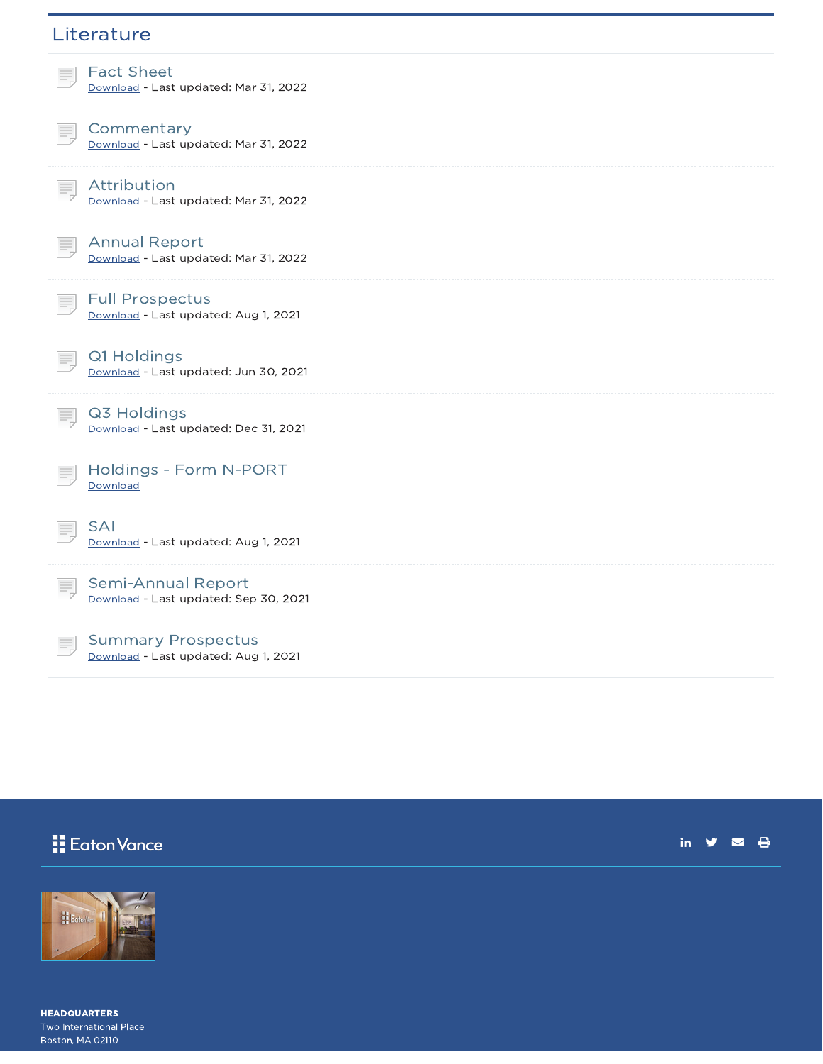## **Literature**



Attribution Download - Last updated: Mar 31, 2022



Download - Last updated: Mar 31, 2022

Full Prospectus Download - Last updated: Aug 1, 2021

Q1 Holdings Download - Last updated: Jun 30, 2021



E,

Q3 Holdings Download - Last updated: Dec 31, 2021



SAI Download - Last updated: Aug 1, 2021

Semi-Annual Report Download - Last updated: Sep 30, 2021

Summary Prospectus Download - Last updated: Aug 1, 2021

## Eaton Vance

in  $y = 0$ 



HEADQUARTERS Two International Place Boston, MA 02110